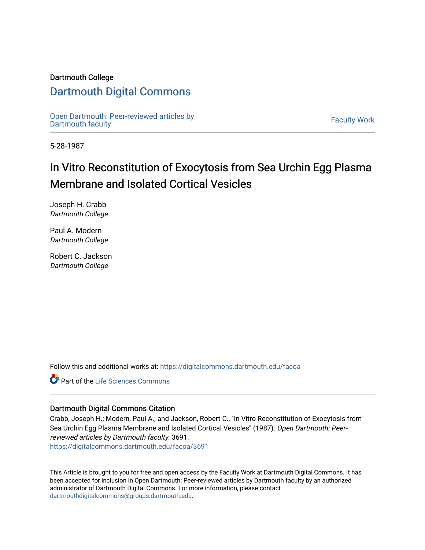### Dartmouth College

### [Dartmouth Digital Commons](https://digitalcommons.dartmouth.edu/)

[Open Dartmouth: Peer-reviewed articles by](https://digitalcommons.dartmouth.edu/facoa)  Open Dartmouth Feer-reviewed articles by<br>[Dartmouth faculty](https://digitalcommons.dartmouth.edu/facoa)

5-28-1987

## In Vitro Reconstitution of Exocytosis from Sea Urchin Egg Plasma Membrane and Isolated Cortical Vesicles

Joseph H. Crabb Dartmouth College

Paul A. Modern Dartmouth College

Robert C. Jackson Dartmouth College

Follow this and additional works at: [https://digitalcommons.dartmouth.edu/facoa](https://digitalcommons.dartmouth.edu/facoa?utm_source=digitalcommons.dartmouth.edu%2Ffacoa%2F3691&utm_medium=PDF&utm_campaign=PDFCoverPages)

Part of the [Life Sciences Commons](http://network.bepress.com/hgg/discipline/1016?utm_source=digitalcommons.dartmouth.edu%2Ffacoa%2F3691&utm_medium=PDF&utm_campaign=PDFCoverPages) 

### Dartmouth Digital Commons Citation

Crabb, Joseph H.; Modern, Paul A.; and Jackson, Robert C., "In Vitro Reconstitution of Exocytosis from Sea Urchin Egg Plasma Membrane and Isolated Cortical Vesicles" (1987). Open Dartmouth: Peerreviewed articles by Dartmouth faculty. 3691. [https://digitalcommons.dartmouth.edu/facoa/3691](https://digitalcommons.dartmouth.edu/facoa/3691?utm_source=digitalcommons.dartmouth.edu%2Ffacoa%2F3691&utm_medium=PDF&utm_campaign=PDFCoverPages) 

This Article is brought to you for free and open access by the Faculty Work at Dartmouth Digital Commons. It has been accepted for inclusion in Open Dartmouth: Peer-reviewed articles by Dartmouth faculty by an authorized administrator of Dartmouth Digital Commons. For more information, please contact [dartmouthdigitalcommons@groups.dartmouth.edu](mailto:dartmouthdigitalcommons@groups.dartmouth.edu).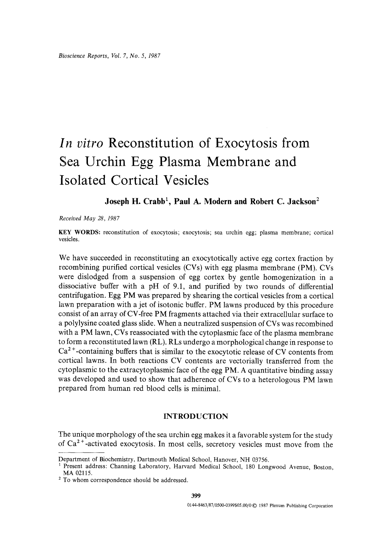# *In vitro* **Reconstitution of Exocytosis from Sea Urchin Egg Plasma Membrane and Isolated Cortical Vesicles**

### Joseph H. Crabb<sup>1</sup>, Paul A. Modern and Robert C. Jackson<sup>2</sup>

*Received May 28, 1987* 

KEY WORDS: reconstitution of exocytosis; exocytosis; sea urchin egg; plasma membrane; cortical vesicles.

We have succeeded in reconstituting an exocytotically active egg cortex fraction by recombining purified cortical vesicles (CVs) with egg plasma membrane (PM). CVs were dislodged from a suspension of egg cortex by gentle homogenization in a dissociative buffer with a pH of 9.1, and purified by two rounds of differential centrifugation. Egg PM was prepared by shearing the cortical vesicles from a cortical lawn preparation with a jet of isotonic buffer. PM lawns produced by this procedure consist of an array of CV-free PM fragments attached via their extracellular surface to a polylysine coated glass slide. When a neutralized suspension of CVs was recombined with a PM lawn, CVs reassociated with the cytoplasmic face of the plasma membrane to form a reconstituted lawn (RL). RLs undergo a morphological change in response to  $Ca<sup>2+</sup>$ -containing buffers that is similar to the exocytotic release of CV contents from cortical lawns. In both reactions CV contents are vectorially transferred from the cytoplasmic to the extracytoplasmic face of the egg PM. A quantitative binding assay was developed and used to show that adherence of CVs to a heterologous PM lawn prepared from human red blood cells is minimal.

### INTRODUCTION

The unique morphology of the sea urchin egg makes it a favorable system for the study of  $Ca^{2+}$ -activated exocytosis. In most cells, secretory vesicles must move from the

Department of Biochemistry, Dartmouth Medical School, Hanover, NH 0375&

<sup>&</sup>lt;sup>1</sup> Present address: Channing Laboratory, Harvard Medical School, 180 Longwood Avenue, Boston, MA 02115.

<sup>&</sup>lt;sup>2</sup> To whom correspondence should be addressed.